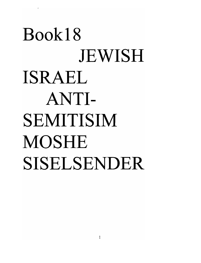# **Book18 JEWISH** ISRAEL ANTI-SEMITISIM MOSHE SISELSENDER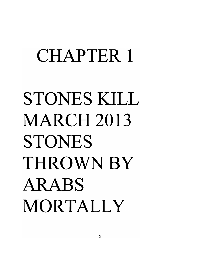## CHAPTER 1

# STONES KILL MARCH 2013 STONES THROWNBY ARABS MORTALLY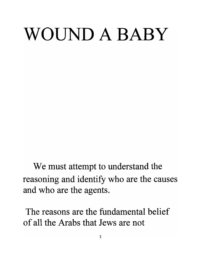# WOUND A BABY

We must attempt to understand the reasoning and identify who are the causes and who are the agents.

**The reasons are the fundamental belief of all the Arabs that Jews are not**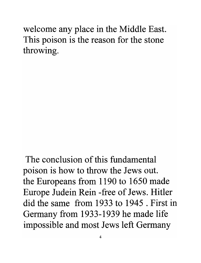welcome any place in the Middle East. This poison is the reason for the stone throwing.

The conclusion of this fundamental poison is how to throw the Jews out. the Europeans from 1190 to 1650 made Europe Judein Rein -free of Jews. Hitler did the same from 1933 to 1945 . First in Germany from 1933-1939 he made life impossible and most Jews left Germany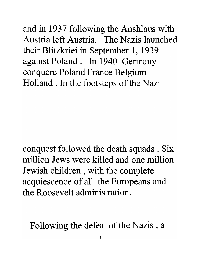and in 1937 following the Anshlaus with Austria left Austria. The Nazis launched their Blitzkriei in September 1, 1939 against Poland. In 1940 Germany conquere Poland France Belgium Holland. In the footsteps of the Nazi

conquest followed the death squads. Six million Jews were killed and one million Jewish children, with the complete acquiescence of all the Europeans and the Roosevelt administration.

Following the defeat of the Nazis, a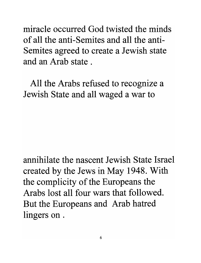**miracle occurred God twisted the minds of all the anti-Semites and all the anti-**Semites agreed to create a Jewish state **and an Arab state .** 

All the Arabs refused to recognize a Jewish State and all waged a war to

**annihilate the nascent Jewish State Israel**  created by the Jews in May 1948. With the complicity of the Europeans the **Arabs lost all four wars that followed.**  But the Europeans and Arab hatred lingers on .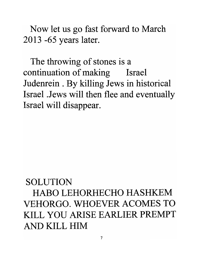Now let us go fast forward to March 2013 -65 years later.

The throwing of stones is a continuation of making Israel Judemein . By killing Jews in historical Israel .Jews will then flee and eventually Israel will disappear.

#### SOLUTION

HABO LEHORHECHO HASHKEM VEHORGO. WHOEVER ACOMES TO KILL YOU ARISE EARLIER PREMPT AND KILL HIM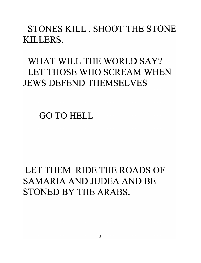STONES KILL. SHOOT THE STONE KILLERS.

#### WHAT WILL THE WORLD SAY? LET THOSE WHO SCREAM WHEN JEWS DEFEND THEMSELVES

GO TO HELL

#### LET THEM RIDE THE ROADS OF SAMARIA AND JUDEA AND BE STONED BY THE ARABS.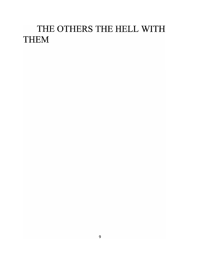#### THE OTHERS THE HELL WITH THEM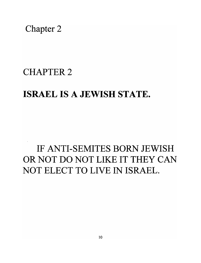Chapter 2

#### CHAPTER 2

#### ISRAEL IS A JEWISH STATE.

#### IF ANTI-SEMITES BORN JEWISH OR NOT DO NOT LIKE IT THEY CAN NOT ELECT TO LIVE IN ISRAEL.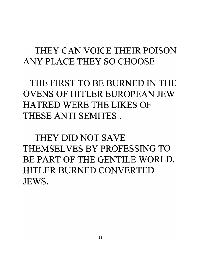#### THEY CAN VOICE THEIR POISON ANY PLACE THEY SO CHOOSE

THE FIRST TO BE BURNED IN THE OVENS OF HITLER EUROPEAN JEW HATRED WERE THE LIKES OF THESE ANTI SEMITES.

THEY DID NOT SAVE THEMSELVES BY PROFESSING TO BE PART OF THE GENTILE WORLD. HITLER BURNED CONVERTED JEWS.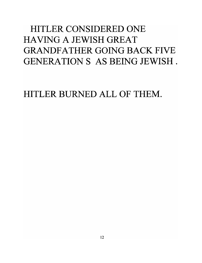#### HITLER CONSIDERED ONE HAVING A JEWISH GREAT GRANDFATHER GOING BACK FIVE GENERATION S AS BEING JEWISH.

HITLER BURNED ALL OF THEM.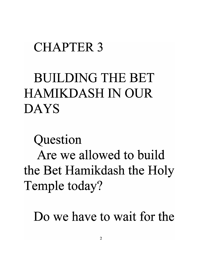### CHAPTER 3

## BUILDING THE BET HAMIKDASH IN OUR DAYS

Question

Are we allowed to build the Bet Hamikdash the Holy Temple today?

Do we have to wait for the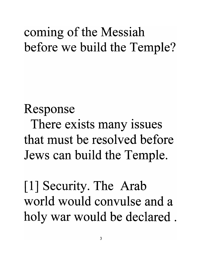### coming of the Messiah before we build the Temple?

Response There exists many issues that must be resolved before Jews can build the Temple.

[1] Security. The Arab world would convulse and a holy war would be declared.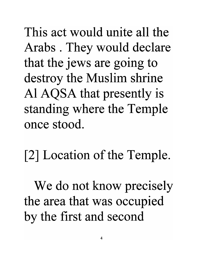This act would unite all the Arabs . They would declare that the jews are going to destroy the Muslim shrine Al AQSA that presently is standing where the Temple once stood.

[2] Location of the Temple.

We do not know precisely the area that was occupied by the first and second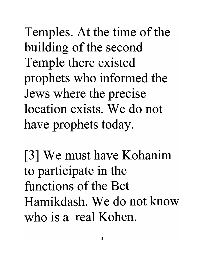Temples. At the time of the building of the second Temple there existed prophets who informed the Jews where the precise location exists. We do not have prophets today.

[3] We must have Kohanim to participate in the functions of the Bet Hamikdash. We do not know who is a real Kohen.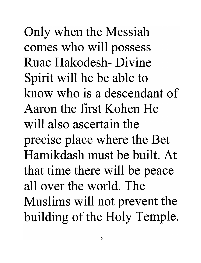Only when the Messiah comes who will possess Ruac Hakodesh- Divine Spirit will he be able to know who is a descendant of Aaron the first Kohen He will also ascertain the precise place where the Bet Hamikdash must be built. At that time there will be peace allover the world. The Muslims will not prevent the building of the Holy Temple.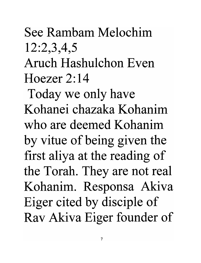## See Rambam Melochim 12:2,3,4,5

Aruch Hashulchon Even Hoezer 2:14

Today we only have Kohanei chazaka Kohanim who are deemed Kohanim by vitue of being given the first aliya at the reading of the Torah. They are not real Kohanim. Responsa Akiva Eiger cited by disciple of Rav Akiva Eiger founder of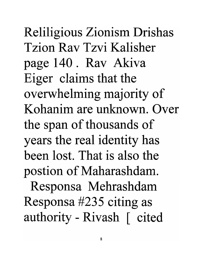Reliligious Zionism Drishas Tzion Rav Tzvi Kalisher page 140. Rav Akiva Eiger claims that the overwhelming majority of Kohanim are unknown. Over the span of thousands of years the real identity has been lost. That is also the postion of Maharashdam.

Responsa Mehrashdam Responsa #235 citing as authority - Rivash [ cited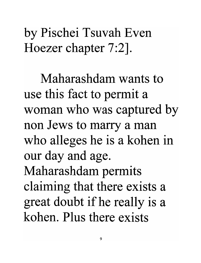by Pischei Tsuvah Even Hoezer chapter 7:2].

Maharashdam wants to use this fact to permit a woman who was captured by non Jews to marry a man who alleges he is a kohen in our day and age. Maharashdam permits claiming that there exists a great doubt if he really is a kohen. Plus there exists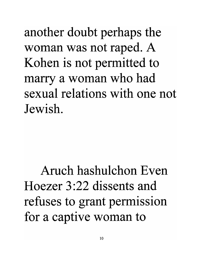another doubt perhaps the woman was not raped. A Kohen is not permitted to marry a woman who had sexual relations with one not Jewish.

Aruch hashulchon Even Hoezer 3:22 dissents and refuses to grant permission for a captive woman to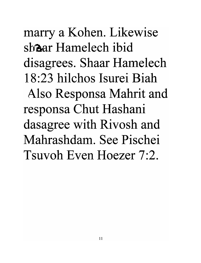marry a Kohen. Likewise shaar Hamelech ibid disagrees. Shaar Hamelech 18:23 hilchos Isurei Biah Also Responsa Mahrit and responsa Chut Hashani dasagree with Rivosh and Mahrashdam. See Pischei Tsuvoh Even Hoezer 7:2.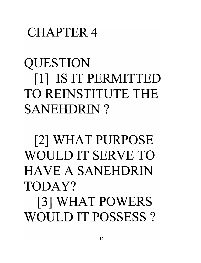### CHAPTER 4

QUESTION [1] IS IT PERMITTED TO REINSTITUTE THE SANEHDRIN?

[2] WHAT PURPOSE WOULD IT SERVE TO HAVE A SANEHDRIN TODAY? [3] WHAT POWERS

WOULD IT POSSESS?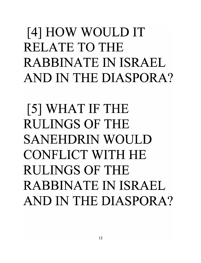## [4] HOW WOULD IT RELATE TO THE RABBINATE IN ISRAEL AND IN THE DIASPORA?

[5] WHAT IF THE RULINGS OF THE SANEHDRIN WOULD CONFLICT WITH HE RULINGS OF THE RABBINATE IN ISRAEL AND IN THE DIASPORA?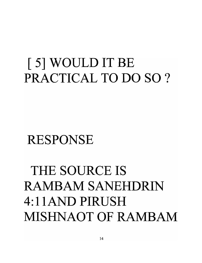## [ 5] WOULD IT BE PRACTICAL TO DO SO ?

### RESPONSE

## THE SOURCE IS RAMBAM SANEHDRIN 4: llAND PIRUSH MISHNAOT OF RAMBAM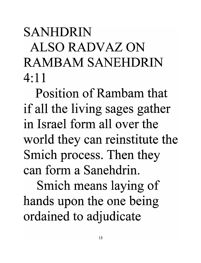## SANHDRIN ALSO RADV AZ ON RAMBAM SANEHDRIN  $4:11$

Position of Rambam that if all the living sages gather in Israel form all over the world they can reinstitute the Smich process. Then they can form a Sanehdrin.

Smich means laying of hands upon the one being ordained to adjudicate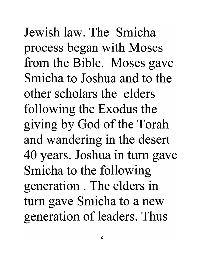Jewish law. The Smicha process began with Moses from the Bible. Moses gave Smicha to Joshua and to the other scholars the elders following the Exodus the giving by God of the Torah and wandering in the desert 40 years. Joshua in tum gave Smicha to the following generation . The elders in tum gave Smicha to a new generation of leaders. Thus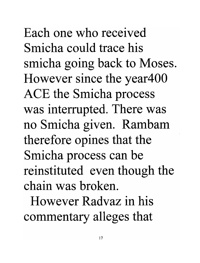Each one who received Smicha could trace his smicha going back to Moses. However since the year400 ACE the Smicha process was interrupted. There was no Smicha given. Rambam therefore opines that the Smicha process can be reinstituted even though the chain was broken.

However Radvaz in his commentary alleges that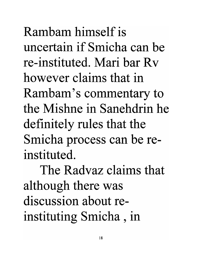Rambam himself is uncertain if Smicha can be re-instituted. Mari bar Rv however claims that in Rambam's commentary to the Mishne in Sanehdrin he definitely rules that the Smicha process can be reinstituted.

The Radvaz claims that although there was discussion about reinstituting Smicha , in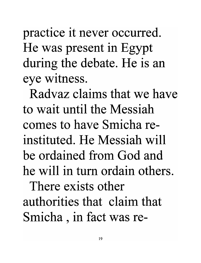practice it never occurred. He was present in Egypt during the debate. He is an eye witness.

Radvaz claims that we have to wait until the Messiah comes to have Smicha reinstituted. He Messiah will be ordained from God and he will in tum ordain others.

There exists other authorities that claim that Smicha, in fact was re-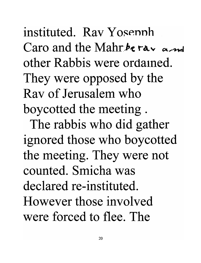instituted. Ray Yosepph Caro and the Mahr $\hbar$ e ray a me other Rabbis were ordained. They were opposed by the Rav of Jerusalem who boycotted the meeting .

The rabbis who did gather ignored those who boycotted the meeting. They were not counted. Smicha was declared re-instituted. However those involved were forced to flee. The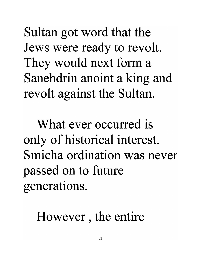Sultan got word that the Jews were ready to revolt. They would next form a Sanehdrin anoint a king and revolt against the Sultan.

What ever occurred is only of historical interest. Smicha ordination was never passed on to future generations.

However , the entire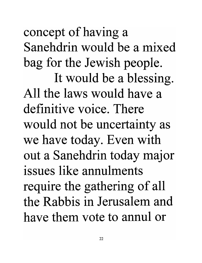concept of having a Sanehdrin would be a mixed bag for the Jewish people. It would be a blessing. All the laws would have a definitive voice. There would not be uncertainty as we have today. Even with out a Sanehdrin today major issues like annulments require the gathering of all the Rabbis in Jerusalem and have them vote to annul or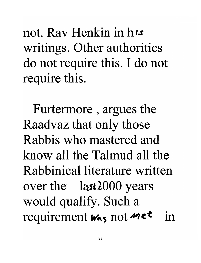not. Ray Henkin in  $h$ <sub>is</sub> writings. Other authorities do not require this. I do not require this.

Furtermore , argues the Raadvaz that only those Rabbis who mastered and know all the Talmud all the Rabbinical literature written over the  $\lambda$  last 2000 years would qualify. Such a requirement  $w_{\alpha,s}$  not  $m$  et in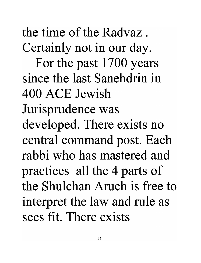the time of the Radvaz . Certainly not in our day.

For the past 1700 years since the last Sanehdrin in 400 ACE Jewish Jurisprudence was developed. There exists no central command post. Each rabbi who has mastered and practices all the 4 parts of the Shulchan Aruch is free to interpret the law and rule as sees fit. There exists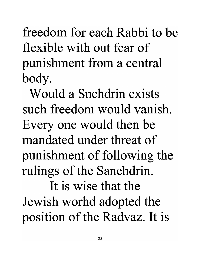freedom for each Rabbi to be flexible with out fear of punishment from a central body.

Would a Snehdrin exists such freedom would vanish. Every one would then be mandated under threat of punishment of following the rulings of the Sanehdrin.

It is wise that the Jewish worhd adopted the position of the Radvaz. It is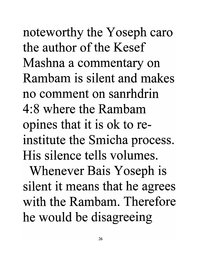noteworthy the Yoseph caro the author of the Kesef Mashna a commentary on Rambam is silent and makes no comment on sanrhdrin 4:8 where the Rambam opines that it is ok to reinstitute the Smicha process. His silence tells volumes.

Whenever Bais Yoseph is silent it means that he agrees with the Rambam. Therefore he would be disagreeing